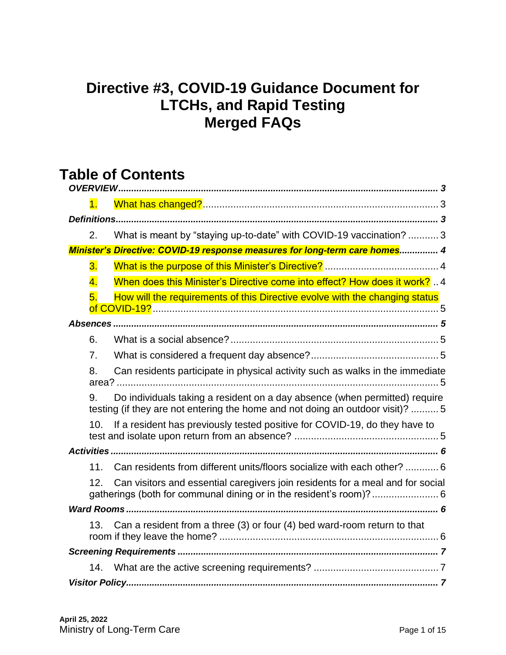# **Directive #3, COVID-19 Guidance Document for LTCHs, and Rapid Testing Merged FAQs**

# **Table of Contents**

| $\overline{1}$ .                                                                                                                                                  |  |  |  |  |
|-------------------------------------------------------------------------------------------------------------------------------------------------------------------|--|--|--|--|
|                                                                                                                                                                   |  |  |  |  |
| What is meant by "staying up-to-date" with COVID-19 vaccination?  3<br>2.                                                                                         |  |  |  |  |
| Minister's Directive: COVID-19 response measures for long-term care homes 4                                                                                       |  |  |  |  |
| 3.                                                                                                                                                                |  |  |  |  |
| When does this Minister's Directive come into effect? How does it work?  4<br>4.                                                                                  |  |  |  |  |
| 5.<br>How will the requirements of this Directive evolve with the changing status                                                                                 |  |  |  |  |
|                                                                                                                                                                   |  |  |  |  |
| 6.                                                                                                                                                                |  |  |  |  |
| 7 <sub>1</sub>                                                                                                                                                    |  |  |  |  |
| Can residents participate in physical activity such as walks in the immediate<br>8.                                                                               |  |  |  |  |
| Do individuals taking a resident on a day absence (when permitted) require<br>9.<br>testing (if they are not entering the home and not doing an outdoor visit)? 5 |  |  |  |  |
| If a resident has previously tested positive for COVID-19, do they have to<br>10.                                                                                 |  |  |  |  |
|                                                                                                                                                                   |  |  |  |  |
| Can residents from different units/floors socialize with each other?  6<br>11.                                                                                    |  |  |  |  |
| Can visitors and essential caregivers join residents for a meal and for social<br>12.                                                                             |  |  |  |  |
|                                                                                                                                                                   |  |  |  |  |
| Can a resident from a three (3) or four (4) bed ward-room return to that<br>13.                                                                                   |  |  |  |  |
|                                                                                                                                                                   |  |  |  |  |
|                                                                                                                                                                   |  |  |  |  |
|                                                                                                                                                                   |  |  |  |  |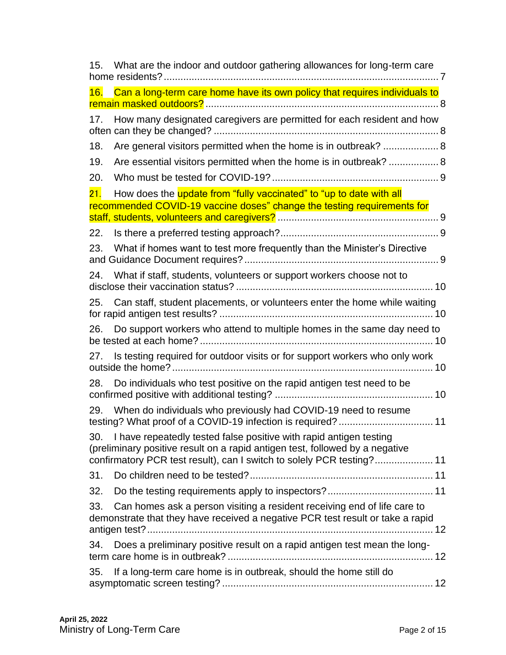| What are the indoor and outdoor gathering allowances for long-term care<br>15.                                                                                                                                                     |  |  |  |
|------------------------------------------------------------------------------------------------------------------------------------------------------------------------------------------------------------------------------------|--|--|--|
| Can a long-term care home have its own policy that requires individuals to<br>16.                                                                                                                                                  |  |  |  |
| How many designated caregivers are permitted for each resident and how<br>17.                                                                                                                                                      |  |  |  |
| Are general visitors permitted when the home is in outbreak?  8<br>18.                                                                                                                                                             |  |  |  |
| Are essential visitors permitted when the home is in outbreak?  8<br>19.                                                                                                                                                           |  |  |  |
| 20.                                                                                                                                                                                                                                |  |  |  |
| 21.<br>How does the update from "fully vaccinated" to "up to date with all<br>recommended COVID-19 vaccine doses" change the testing requirements for                                                                              |  |  |  |
| 22.                                                                                                                                                                                                                                |  |  |  |
| What if homes want to test more frequently than the Minister's Directive<br>23.                                                                                                                                                    |  |  |  |
| What if staff, students, volunteers or support workers choose not to<br>24.                                                                                                                                                        |  |  |  |
| Can staff, student placements, or volunteers enter the home while waiting<br>25.                                                                                                                                                   |  |  |  |
| Do support workers who attend to multiple homes in the same day need to<br>26.                                                                                                                                                     |  |  |  |
| 27. Is testing required for outdoor visits or for support workers who only work                                                                                                                                                    |  |  |  |
| Do individuals who test positive on the rapid antigen test need to be<br>28.                                                                                                                                                       |  |  |  |
| When do individuals who previously had COVID-19 need to resume<br>29.                                                                                                                                                              |  |  |  |
| I have repeatedly tested false positive with rapid antigen testing<br>30.<br>(preliminary positive result on a rapid antigen test, followed by a negative<br>confirmatory PCR test result), can I switch to solely PCR testing? 11 |  |  |  |
| 31.                                                                                                                                                                                                                                |  |  |  |
| 32.                                                                                                                                                                                                                                |  |  |  |
| 33.<br>Can homes ask a person visiting a resident receiving end of life care to<br>demonstrate that they have received a negative PCR test result or take a rapid                                                                  |  |  |  |
| Does a preliminary positive result on a rapid antigen test mean the long-<br>34.                                                                                                                                                   |  |  |  |
| If a long-term care home is in outbreak, should the home still do<br>35.                                                                                                                                                           |  |  |  |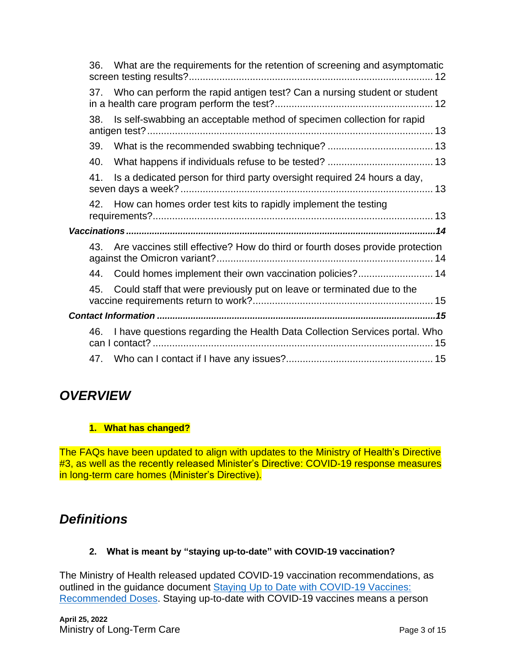|  | 36. What are the requirements for the retention of screening and asymptomatic |                                                                               |  |  |
|--|-------------------------------------------------------------------------------|-------------------------------------------------------------------------------|--|--|
|  | 37.                                                                           | Who can perform the rapid antigen test? Can a nursing student or student      |  |  |
|  | 38.                                                                           | Is self-swabbing an acceptable method of specimen collection for rapid        |  |  |
|  | 39.                                                                           |                                                                               |  |  |
|  | 40.                                                                           |                                                                               |  |  |
|  | 41.                                                                           | Is a dedicated person for third party oversight required 24 hours a day,      |  |  |
|  |                                                                               | 42. How can homes order test kits to rapidly implement the testing            |  |  |
|  |                                                                               |                                                                               |  |  |
|  | 43.                                                                           | Are vaccines still effective? How do third or fourth doses provide protection |  |  |
|  | 44.                                                                           | Could homes implement their own vaccination policies? 14                      |  |  |
|  | 45.                                                                           | Could staff that were previously put on leave or terminated due to the        |  |  |
|  |                                                                               |                                                                               |  |  |
|  | 46.                                                                           | I have questions regarding the Health Data Collection Services portal. Who    |  |  |
|  | 47.                                                                           |                                                                               |  |  |

### <span id="page-2-1"></span><span id="page-2-0"></span>*OVERVIEW*

#### **1. What has changed?**

The FAQs have been updated to align with updates to the Ministry of Health's Directive #3, as well as the recently released Minister's Directive: COVID-19 response measures in long-term care homes (Minister's Directive).

### <span id="page-2-2"></span>*Definitions*

#### <span id="page-2-3"></span>**2. What is meant by "staying up-to-date" with COVID-19 vaccination?**

The Ministry of Health released updated COVID-19 vaccination recommendations, as outlined in the guidance document Staying Up to Date with COVID-19 Vaccines: [Recommended Doses.](https://www.health.gov.on.ca/en/pro/programs/publichealth/coronavirus/docs/vaccine/COVID_19_vaccine_up_to_date.pdf) Staying up-to-date with COVID-19 vaccines means a person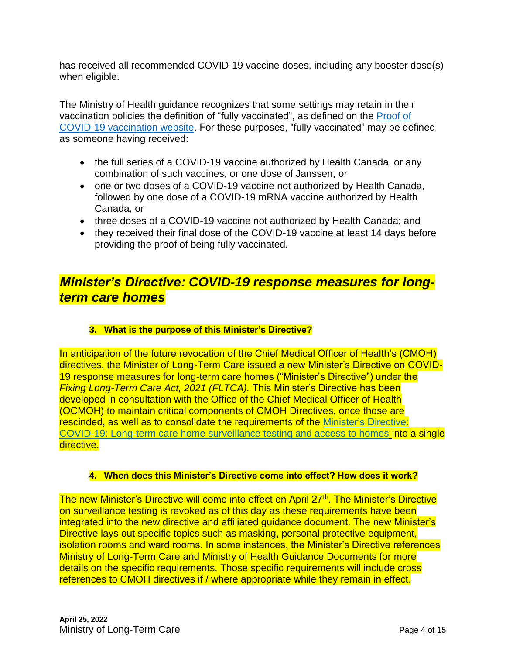has received all recommended COVID-19 vaccine doses, including any booster dose(s) when eligible.

The Ministry of Health guidance recognizes that some settings may retain in their vaccination policies the definition of "fully vaccinated", as defined on the [Proof of](https://covid-19.ontario.ca/proof-covid-19-vaccination#proof-of-vaccination)  [COVID-19 vaccination website.](https://covid-19.ontario.ca/proof-covid-19-vaccination#proof-of-vaccination) For these purposes, "fully vaccinated" may be defined as someone having received:

- the full series of a COVID-19 vaccine authorized by Health Canada, or any combination of such vaccines, or one dose of Janssen, or
- one or two doses of a COVID-19 vaccine not authorized by Health Canada, followed by one dose of a COVID-19 mRNA vaccine authorized by Health Canada, or
- three doses of a COVID-19 vaccine not authorized by Health Canada; and
- they received their final dose of the COVID-19 vaccine at least 14 days before providing the proof of being fully vaccinated.

### <span id="page-3-0"></span>*Minister's Directive: COVID-19 response measures for longterm care homes*

#### **3. What is the purpose of this Minister's Directive?**

<span id="page-3-1"></span>In anticipation of the future revocation of the Chief Medical Officer of Health's (CMOH) directives, the Minister of Long-Term Care issued a new Minister's Directive on COVID-19 response measures for long-term care homes ("Minister's Directive") under the *Fixing Long-Term Care Act, 2021 (FLTCA).* This Minister's Directive has been developed in consultation with the Office of the Chief Medical Officer of Health (OCMOH) to maintain critical components of CMOH Directives, once those are rescinded, as well as to consolidate the requirements of the [Minister's Directive:](https://www.ontario.ca/page/covid-19-long-term-care-home-surveillance-testing)  [COVID-19: Long-term care home surveillance testing and access to homes](https://www.ontario.ca/page/covid-19-long-term-care-home-surveillance-testing) into a single directive.

#### **4. When does this Minister's Directive come into effect? How does it work?**

<span id="page-3-2"></span>The new Minister's Directive will come into effect on April 27<sup>th</sup>. The Minister's Directive on surveillance testing is revoked as of this day as these requirements have been integrated into the new directive and affiliated guidance document. The new Minister's Directive lays out specific topics such as masking, personal protective equipment, isolation rooms and ward rooms. In some instances, the Minister's Directive references Ministry of Long-Term Care and Ministry of Health Guidance Documents for more details on the specific requirements. Those specific requirements will include cross references to CMOH directives if / where appropriate while they remain in effect.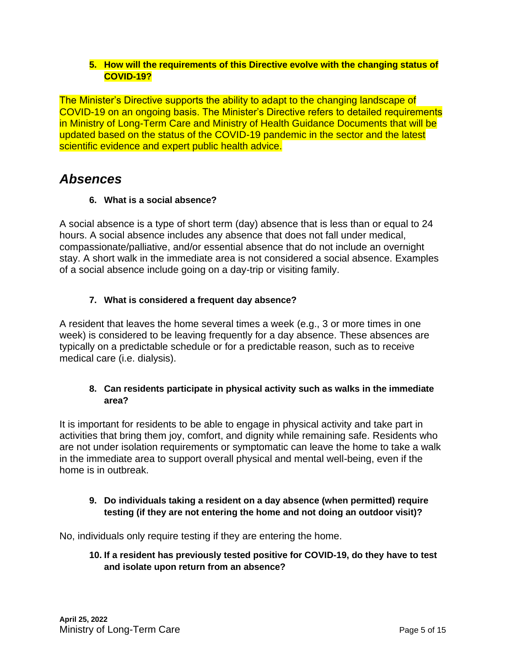#### <span id="page-4-0"></span>**5. How will the requirements of this Directive evolve with the changing status of COVID-19?**

The Minister's Directive supports the ability to adapt to the changing landscape of COVID-19 on an ongoing basis. The Minister's Directive refers to detailed requirements in Ministry of Long-Term Care and Ministry of Health Guidance Documents that will be updated based on the status of the COVID-19 pandemic in the sector and the latest scientific evidence and expert public health advice.

### <span id="page-4-2"></span><span id="page-4-1"></span>*Absences*

#### **6. What is a social absence?**

A social absence is a type of short term (day) absence that is less than or equal to 24 hours. A social absence includes any absence that does not fall under medical, compassionate/palliative, and/or essential absence that do not include an overnight stay. A short walk in the immediate area is not considered a social absence. Examples of a social absence include going on a day-trip or visiting family.

#### **7. What is considered a frequent day absence?**

<span id="page-4-3"></span>A resident that leaves the home several times a week (e.g., 3 or more times in one week) is considered to be leaving frequently for a day absence. These absences are typically on a predictable schedule or for a predictable reason, such as to receive medical care (i.e. dialysis).

#### <span id="page-4-4"></span>**8. Can residents participate in physical activity such as walks in the immediate area?**

It is important for residents to be able to engage in physical activity and take part in activities that bring them joy, comfort, and dignity while remaining safe. Residents who are not under isolation requirements or symptomatic can leave the home to take a walk in the immediate area to support overall physical and mental well-being, even if the home is in outbreak.

#### <span id="page-4-5"></span>**9. Do individuals taking a resident on a day absence (when permitted) require testing (if they are not entering the home and not doing an outdoor visit)?**

<span id="page-4-6"></span>No, individuals only require testing if they are entering the home.

#### **10. If a resident has previously tested positive for COVID-19, do they have to test and isolate upon return from an absence?**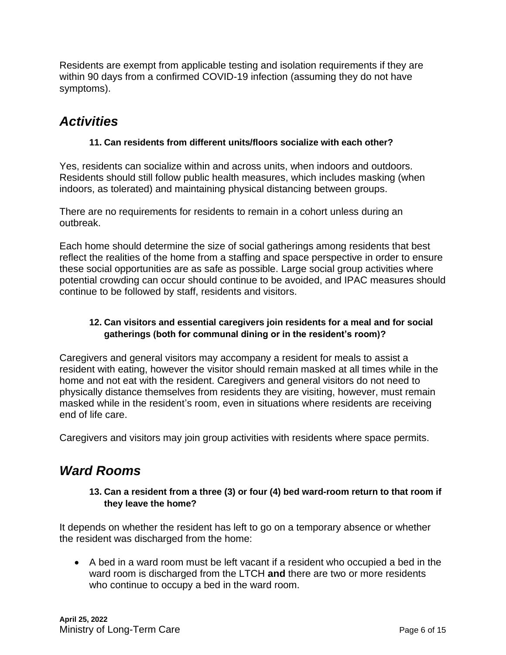Residents are exempt from applicable testing and isolation requirements if they are within 90 days from a confirmed COVID-19 infection (assuming they do not have symptoms).

## <span id="page-5-1"></span><span id="page-5-0"></span>*Activities*

#### **11. Can residents from different units/floors socialize with each other?**

Yes, residents can socialize within and across units, when indoors and outdoors. Residents should still follow public health measures, which includes masking (when indoors, as tolerated) and maintaining physical distancing between groups.

There are no requirements for residents to remain in a cohort unless during an outbreak.

Each home should determine the size of social gatherings among residents that best reflect the realities of the home from a staffing and space perspective in order to ensure these social opportunities are as safe as possible. Large social group activities where potential crowding can occur should continue to be avoided, and IPAC measures should continue to be followed by staff, residents and visitors.

#### <span id="page-5-2"></span>**12. Can visitors and essential caregivers join residents for a meal and for social gatherings (both for communal dining or in the resident's room)?**

Caregivers and general visitors may accompany a resident for meals to assist a resident with eating, however the visitor should remain masked at all times while in the home and not eat with the resident. Caregivers and general visitors do not need to physically distance themselves from residents they are visiting, however, must remain masked while in the resident's room, even in situations where residents are receiving end of life care.

Caregivers and visitors may join group activities with residents where space permits.

### <span id="page-5-4"></span><span id="page-5-3"></span>*Ward Rooms*

#### **13. Can a resident from a three (3) or four (4) bed ward-room return to that room if they leave the home?**

It depends on whether the resident has left to go on a temporary absence or whether the resident was discharged from the home:

• A bed in a ward room must be left vacant if a resident who occupied a bed in the ward room is discharged from the LTCH **and** there are two or more residents who continue to occupy a bed in the ward room.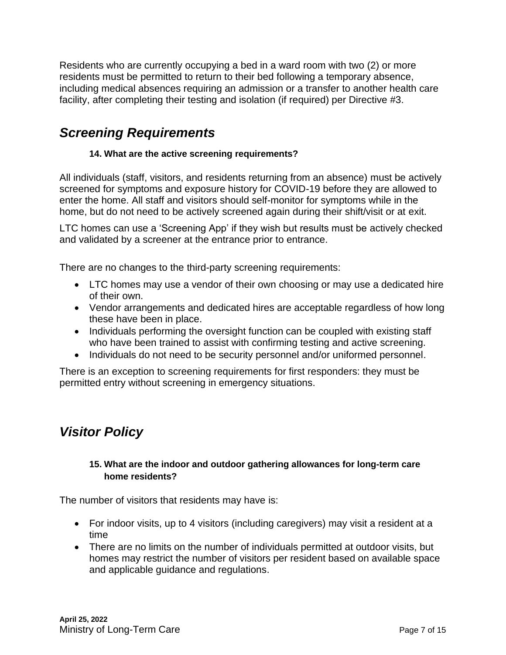Residents who are currently occupying a bed in a ward room with two (2) or more residents must be permitted to return to their bed following a temporary absence, including medical absences requiring an admission or a transfer to another health care facility, after completing their testing and isolation (if required) per Directive #3.

## <span id="page-6-1"></span><span id="page-6-0"></span>*Screening Requirements*

#### **14. What are the active screening requirements?**

All individuals (staff, visitors, and residents returning from an absence) must be [actively](http://www.health.gov.on.ca/en/pro/programs/publichealth/coronavirus/docs/2019_screening_guidance.pdf)  [screened](http://www.health.gov.on.ca/en/pro/programs/publichealth/coronavirus/docs/2019_screening_guidance.pdf) for symptoms and exposure history for COVID-19 before they are allowed to enter the home. All staff and visitors should self-monitor for symptoms while in the home, but do not need to be actively screened again during their shift/visit or at exit.

LTC homes can use a 'Screening App' if they wish but results must be actively checked and validated by a screener at the entrance prior to entrance.

There are no changes to the third-party screening requirements:

- LTC homes may use a vendor of their own choosing or may use a dedicated hire of their own.
- Vendor arrangements and dedicated hires are acceptable regardless of how long these have been in place.
- Individuals performing the oversight function can be coupled with existing staff who have been trained to assist with confirming testing and active screening.
- Individuals do not need to be security personnel and/or uniformed personnel.

There is an exception to screening requirements for first responders: they must be permitted entry without screening in emergency situations.

## <span id="page-6-3"></span><span id="page-6-2"></span>*Visitor Policy*

#### **15. What are the indoor and outdoor gathering allowances for long-term care home residents?**

The number of visitors that residents may have is:

- For indoor visits, up to 4 visitors (including caregivers) may visit a resident at a time
- There are no limits on the number of individuals permitted at outdoor visits, but homes may restrict the number of visitors per resident based on available space and applicable guidance and regulations.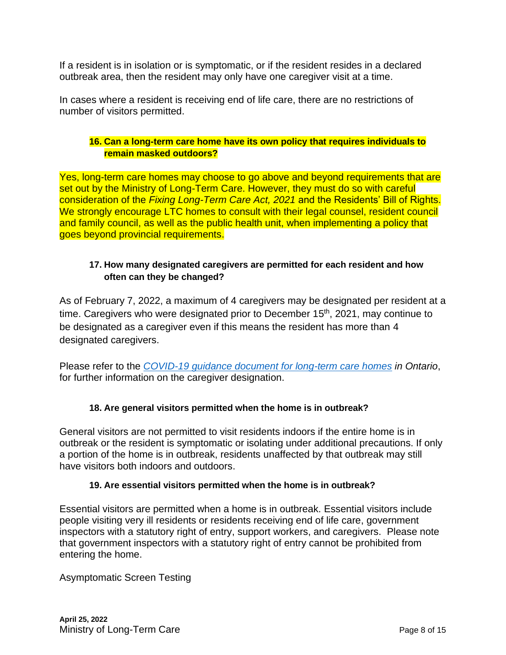If a resident is in isolation or is symptomatic, or if the resident resides in a declared outbreak area, then the resident may only have one caregiver visit at a time.

In cases where a resident is receiving end of life care, there are no restrictions of number of visitors permitted.

#### <span id="page-7-0"></span>**16. Can a long-term care home have its own policy that requires individuals to remain masked outdoors?**

Yes, long-term care homes may choose to go above and beyond requirements that are set out by the Ministry of Long-Term Care. However, they must do so with careful consideration of the *Fixing Long-Term Care Act, 2021* and the Residents' Bill of Rights. We strongly encourage LTC homes to consult with their legal counsel, resident council and family council, as well as the public health unit, when implementing a policy that goes beyond provincial requirements.

#### <span id="page-7-1"></span>**17. How many designated caregivers are permitted for each resident and how often can they be changed?**

As of February 7, 2022, a maximum of 4 caregivers may be designated per resident at a time. Caregivers who were designated prior to December 15<sup>th</sup>, 2021, may continue to be designated as a caregiver even if this means the resident has more than 4 designated caregivers.

Please refer to the *[COVID-19 guidance document for long-term care homes](https://www.ontario.ca/page/covid-19-guidance-document-long-term-care-homes-ontario) in Ontario*, for further information on the caregiver designation.

#### **18. Are general visitors permitted when the home is in outbreak?**

<span id="page-7-2"></span>General visitors are not permitted to visit residents indoors if the entire home is in outbreak or the resident is symptomatic or isolating under additional precautions. If only a portion of the home is in outbreak, residents unaffected by that outbreak may still have visitors both indoors and outdoors.

#### **19. Are essential visitors permitted when the home is in outbreak?**

<span id="page-7-3"></span>Essential visitors are permitted when a home is in outbreak. Essential visitors include people visiting very ill residents or residents receiving end of life care, government inspectors with a statutory right of entry, support workers, and caregivers. Please note that government inspectors with a statutory right of entry cannot be prohibited from entering the home.

Asymptomatic Screen Testing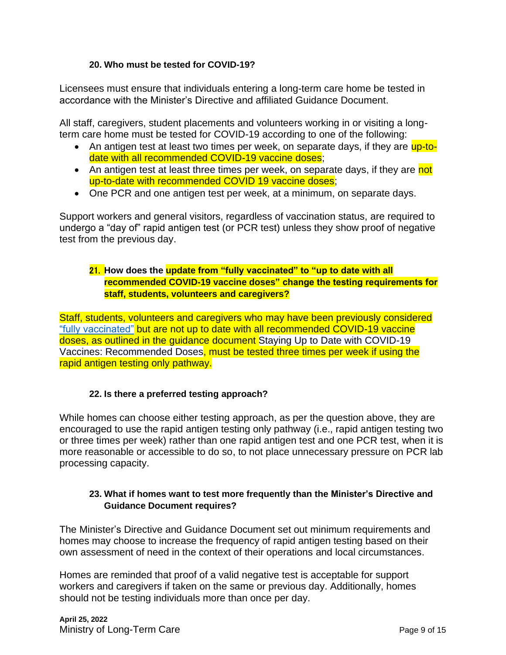#### **20. Who must be tested for COVID-19?**

<span id="page-8-0"></span>Licensees must ensure that individuals entering a long-term care home be tested in accordance with the Minister's Directive and affiliated Guidance Document.

All staff, caregivers, student placements and volunteers working in or visiting a longterm care home must be tested for COVID-19 according to one of the following:

- An antigen test at least two times per week, on separate days, if they are up-todate with all recommended COVID-19 vaccine doses;
- An antigen test at least three times per week, on separate days, if they are not up-to-date with recommended COVID 19 vaccine doses;
- One PCR and one antigen test per week, at a minimum, on separate days.

Support workers and general visitors, regardless of vaccination status, are required to undergo a "day of" rapid antigen test (or PCR test) unless they show proof of negative test from the previous day.

#### <span id="page-8-1"></span>21. **How does the update from "fully vaccinated" to "up to date with all recommended COVID-19 vaccine doses" change the testing requirements for staff, students, volunteers and caregivers?**

Staff, students, volunteers and caregivers who may have been previously considered ["fully vaccinated"](https://covid-19.ontario.ca/proof-covid-19-vaccination#proof-of-vaccination) but are not up to date with all recommended COVID-19 vaccine doses, as outlined in the guidance document Staying Up to Date with COVID-19 [Vaccines: Recommended Doses,](https://www.health.gov.on.ca/en/pro/programs/publichealth/coronavirus/docs/vaccine/COVID_19_vaccine_up_to_date.pdf) must be tested three times per week if using the rapid antigen testing only pathway.

#### **22. Is there a preferred testing approach?**

<span id="page-8-2"></span>While homes can choose either testing approach, as per the question above, they are encouraged to use the rapid antigen testing only pathway (i.e., rapid antigen testing two or three times per week) rather than one rapid antigen test and one PCR test, when it is more reasonable or accessible to do so, to not place unnecessary pressure on PCR lab processing capacity.

#### <span id="page-8-3"></span>**23. What if homes want to test more frequently than the Minister's Directive and Guidance Document requires?**

The Minister's Directive and Guidance Document set out minimum requirements and homes may choose to increase the frequency of rapid antigen testing based on their own assessment of need in the context of their operations and local circumstances.

Homes are reminded that proof of a valid negative test is acceptable for support workers and caregivers if taken on the same or previous day. Additionally, homes should not be testing individuals more than once per day.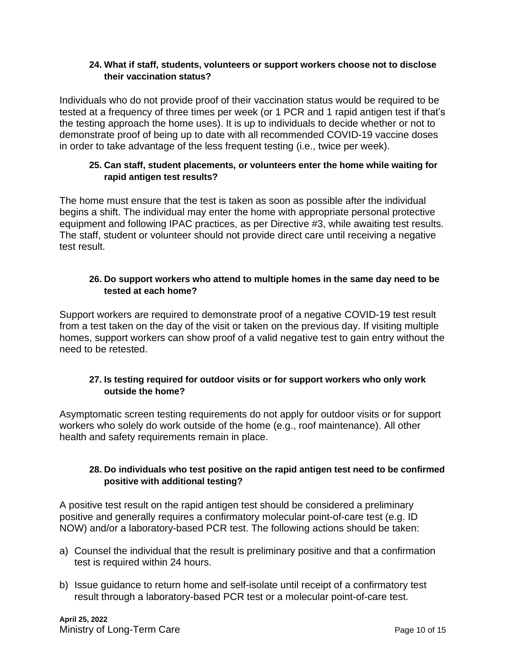#### <span id="page-9-0"></span>**24. What if staff, students, volunteers or support workers choose not to disclose their vaccination status?**

Individuals who do not provide proof of their vaccination status would be required to be tested at a frequency of three times per week (or 1 PCR and 1 rapid antigen test if that's the testing approach the home uses). It is up to individuals to decide whether or not to demonstrate proof of being up to date with all recommended COVID-19 vaccine doses in order to take advantage of the less frequent testing (i.e., twice per week).

#### <span id="page-9-1"></span>**25. Can staff, student placements, or volunteers enter the home while waiting for rapid antigen test results?**

The home must ensure that the test is taken as soon as possible after the individual begins a shift. The individual may enter the home with appropriate personal protective equipment and following IPAC practices, as per [Directive #3,](https://www.health.gov.on.ca/en/pro/programs/publichealth/coronavirus/docs/directives/LTCH_HPPA.pdf) while awaiting test results. The staff, student or volunteer should not provide direct care until receiving a negative test result.

#### <span id="page-9-2"></span>**26. Do support workers who attend to multiple homes in the same day need to be tested at each home?**

Support workers are required to demonstrate proof of a negative COVID-19 test result from a test taken on the day of the visit or taken on the previous day. If visiting multiple homes, support workers can show proof of a valid negative test to gain entry without the need to be retested.

#### <span id="page-9-3"></span>**27. Is testing required for outdoor visits or for support workers who only work outside the home?**

Asymptomatic screen testing requirements do not apply for outdoor visits or for support workers who solely do work outside of the home (e.g., roof maintenance). All other health and safety requirements remain in place.

#### <span id="page-9-4"></span>**28. Do individuals who test positive on the rapid antigen test need to be confirmed positive with additional testing?**

A positive test result on the rapid antigen test should be considered a preliminary positive and generally requires a confirmatory molecular point-of-care test (e.g. ID NOW) and/or a laboratory-based PCR test. The following actions should be taken:

- a) Counsel the individual that the result is preliminary positive and that a confirmation test is required within 24 hours.
- b) Issue guidance to return home and self-isolate until receipt of a confirmatory test result through a laboratory-based PCR test or a molecular point-of-care test.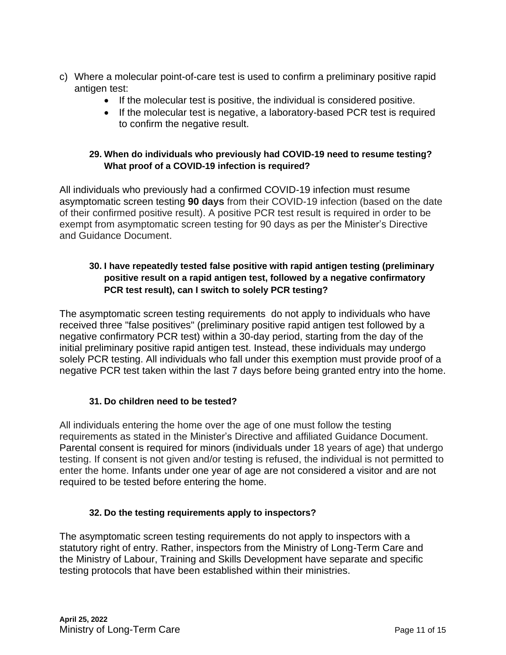- c) Where a molecular point-of-care test is used to confirm a preliminary positive rapid antigen test:
	- If the molecular test is positive, the individual is considered positive.
	- If the molecular test is negative, a laboratory-based PCR test is required to confirm the negative result.

#### <span id="page-10-0"></span>**29. When do individuals who previously had COVID-19 need to resume testing? What proof of a COVID-19 infection is required?**

All individuals who previously had a confirmed COVID-19 infection must resume asymptomatic screen testing **90 days** from their COVID-19 infection (based on the date of their confirmed positive result). A positive PCR test result is required in order to be exempt from asymptomatic screen testing for 90 days as per the Minister's Directive and Guidance Document.

#### <span id="page-10-1"></span>**30. I have repeatedly tested false positive with rapid antigen testing (preliminary positive result on a rapid antigen test, followed by a negative confirmatory PCR test result), can I switch to solely PCR testing?**

The asymptomatic screen testing requirements do not apply to individuals who have received three "false positives" (preliminary positive rapid antigen test followed by a negative confirmatory PCR test) within a 30-day period, starting from the day of the initial preliminary positive rapid antigen test. Instead, these individuals may undergo solely PCR testing. All individuals who fall under this exemption must provide proof of a negative PCR test taken within the last 7 days before being granted entry into the home.

#### **31. Do children need to be tested?**

<span id="page-10-2"></span>All individuals entering the home over the age of one must follow the testing requirements as stated in the Minister's Directive and affiliated Guidance Document. Parental consent is required for minors (individuals under 18 years of age) that undergo testing. If consent is not given and/or testing is refused, the individual is not permitted to enter the home. Infants under one year of age are not considered a visitor and are not required to be tested before entering the home.

#### **32. Do the testing requirements apply to inspectors?**

<span id="page-10-3"></span>The asymptomatic screen testing requirements do not apply to inspectors with a statutory right of entry. Rather, inspectors from the Ministry of Long-Term Care and the Ministry of Labour, Training and Skills Development have separate and specific testing protocols that have been established within their ministries.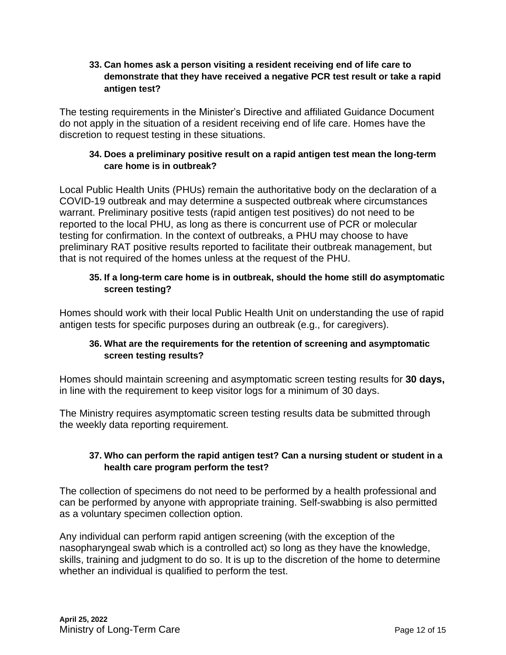#### <span id="page-11-0"></span>**33. Can homes ask a person visiting a resident receiving end of life care to demonstrate that they have received a negative PCR test result or take a rapid antigen test?**

The testing requirements in the Minister's Directive and affiliated Guidance Document do not apply in the situation of a resident receiving end of life care. Homes have the discretion to request testing in these situations.

#### <span id="page-11-1"></span>**34. Does a preliminary positive result on a rapid antigen test mean the long-term care home is in outbreak?**

Local Public Health Units (PHUs) remain the authoritative body on the declaration of a COVID-19 outbreak and may determine a suspected outbreak where circumstances warrant. Preliminary positive tests (rapid antigen test positives) do not need to be reported to the local PHU, as long as there is concurrent use of PCR or molecular testing for confirmation. In the context of outbreaks, a PHU may choose to have preliminary RAT positive results reported to facilitate their outbreak management, but that is not required of the homes unless at the request of the PHU.

#### <span id="page-11-2"></span>**35. If a long-term care home is in outbreak, should the home still do asymptomatic screen testing?**

<span id="page-11-3"></span>Homes should work with their local Public Health Unit on understanding the use of rapid antigen tests for specific purposes during an outbreak (e.g., for caregivers).

#### **36. What are the requirements for the retention of screening and asymptomatic screen testing results?**

Homes should maintain screening and asymptomatic screen testing results for **30 days,**  in line with the requirement to keep visitor logs for a minimum of 30 days.

The Ministry requires asymptomatic screen testing results data be submitted through the weekly data reporting requirement.

#### <span id="page-11-4"></span>**37. Who can perform the rapid antigen test? Can a nursing student or student in a health care program perform the test?**

The collection of specimens do not need to be performed by a health professional and can be performed by anyone with appropriate training. Self-swabbing is also permitted as a voluntary specimen collection option.

Any individual can perform rapid antigen screening (with the exception of the nasopharyngeal swab which is a controlled act) so long as they have the knowledge, skills, training and judgment to do so. It is up to the discretion of the home to determine whether an individual is qualified to perform the test.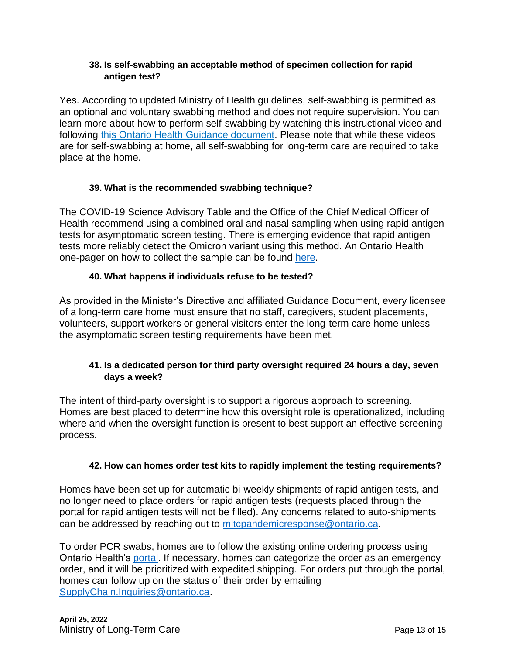#### <span id="page-12-0"></span>**38. Is self-swabbing an acceptable method of specimen collection for rapid antigen test?**

Yes. According to updated [Ministry of Health guidelines,](http://www.health.gov.on.ca/en/pro/programs/publichealth/coronavirus/docs/Antigen_Screening_Guidance_2021-03-5.pdf) self-swabbing is permitted as an optional and voluntary swabbing method and does not require supervision. You can learn more about how to perform self-swabbing by watching [this](https://www.youtube.com/watch?v=CBBd4JRWTsg) instructional video and following [this Ontario Health Guidance document.](https://www.ontariohealth.ca/sites/ontariohealth/files/2021-03/How_to_Nasal_Swab_2-pager.pdf) Please note that while these videos are for self-swabbing at home, all self-swabbing for long-term care are required to take place at the home.

#### **39. What is the recommended swabbing technique?**

<span id="page-12-1"></span>The COVID-19 Science Advisory Table and the Office of the Chief Medical Officer of Health recommend using a combined oral and nasal sampling when using rapid antigen tests for asymptomatic screen testing. There is emerging evidence that rapid antigen tests more reliably detect the Omicron variant using this method. An Ontario Health one-pager on how to collect the sample can be found [here.](https://www.ontariohealth.ca/sites/ontariohealth/files/2022-02/COVID-19RapidAntigenTests-HowtoCollectaSample.pdf)

#### **40. What happens if individuals refuse to be tested?**

<span id="page-12-2"></span>As provided in the Minister's Directive and affiliated Guidance Document, every licensee of a long-term care home must ensure that no staff, caregivers, student placements, volunteers, support workers or general visitors enter the long-term care home unless the asymptomatic screen testing requirements have been met.

#### <span id="page-12-3"></span>**41. Is a dedicated person for third party oversight required 24 hours a day, seven days a week?**

The intent of third-party oversight is to support a rigorous approach to screening. Homes are best placed to determine how this oversight role is operationalized, including where and when the oversight function is present to best support an effective screening process.

#### **42. How can homes order test kits to rapidly implement the testing requirements?**

<span id="page-12-4"></span>Homes have been set up for automatic bi-weekly shipments of rapid antigen tests, and no longer need to place orders for rapid antigen tests (requests placed through the portal for rapid antigen tests will not be filled). Any concerns related to auto-shipments can be addressed by reaching out to [mltcpandemicresponse@ontario.ca.](mailto:mltcpandemicresponse@ontario.ca)

To order PCR swabs, homes are to follow the existing online ordering process using Ontario Health's [portal.](https://can01.safelinks.protection.outlook.com/?url=https%3A%2F%2Fehealthontario.on.ca%2Fen%2Fhealth-care-professionals%2Fdigital-health-services&data=04%7C01%7CErin.Manax%40ontario.ca%7C1c843e15d21444d16a9308d9caf2e52d%7Ccddc1229ac2a4b97b78a0e5cacb5865c%7C0%7C0%7C637763966834204260%7CUnknown%7CTWFpbGZsb3d8eyJWIjoiMC4wLjAwMDAiLCJQIjoiV2luMzIiLCJBTiI6Ik1haWwiLCJXVCI6Mn0%3D%7C3000&sdata=tkGb%2FY8TYJaeW15rMLtyWUqJ%2Fc8HxyGXQ0ZtIiUVkdw%3D&reserved=0) If necessary, homes can categorize the order as an emergency order, and it will be prioritized with expedited shipping. For orders put through the portal, homes can follow up on the status of their order by emailing [SupplyChain.Inquiries@ontario.ca.](mailto:SupplyChain.Inquiries@ontario.ca)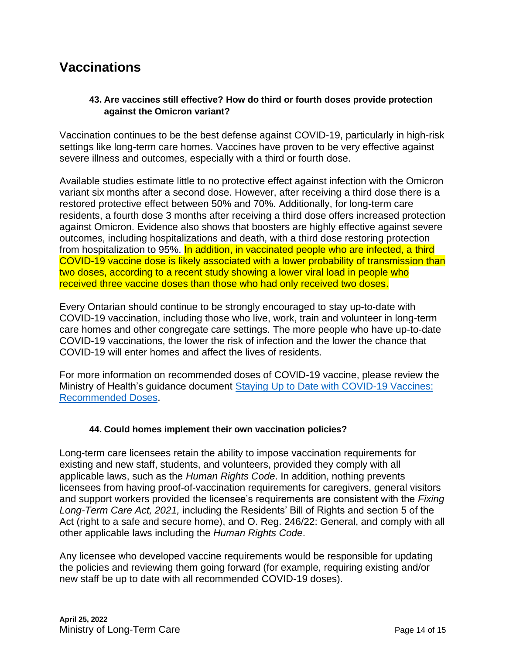## <span id="page-13-1"></span><span id="page-13-0"></span>**Vaccinations**

#### **43. Are vaccines still effective? How do third or fourth doses provide protection against the Omicron variant?**

Vaccination continues to be the best defense against COVID-19, particularly in high-risk settings like long-term care homes. Vaccines have proven to be very effective against severe illness and outcomes, especially with a third or fourth dose.

Available studies estimate little to no protective effect against infection with the Omicron variant six months after a second dose. However, after receiving a third dose there is a restored protective effect between 50% and 70%. Additionally, for long-term care residents, a fourth dose 3 months after receiving a third dose offers increased protection against Omicron. Evidence also shows that boosters are highly effective against severe outcomes, including hospitalizations and death, with a third dose restoring protection from hospitalization to 95%. In addition, in vaccinated people who are infected, a third COVID-19 vaccine dose is likely associated with a lower probability of transmission than two doses, according to a recent study showing a lower viral load in people who received three vaccine doses than those who had only received two doses.

Every Ontarian should continue to be strongly encouraged to stay up-to-date with COVID-19 vaccination, including those who live, work, train and volunteer in long-term care homes and other congregate care settings. The more people who have up-to-date COVID-19 vaccinations, the lower the risk of infection and the lower the chance that COVID-19 will enter homes and affect the lives of residents.

For more information on recommended doses of COVID-19 vaccine, please review the Ministry of Health's guidance document Staying Up to Date with COVID-19 Vaccines: [Recommended Doses.](https://www.health.gov.on.ca/en/pro/programs/publichealth/coronavirus/docs/vaccine/COVID_19_vaccine_up_to_date.pdf)

#### **44. Could homes implement their own vaccination policies?**

<span id="page-13-2"></span>Long-term care licensees retain the ability to impose vaccination requirements for existing and new staff, students, and volunteers, provided they comply with all applicable laws, such as the *Human Rights Code*. In addition, nothing prevents licensees from having proof-of-vaccination requirements for caregivers, general visitors and support workers provided the licensee's requirements are consistent with the *Fixing Long-Term Care Act, 2021,* including the Residents' Bill of Rights and section 5 of the Act (right to a safe and secure home), and O. Reg. 246/22: General, and comply with all other applicable laws including the *Human Rights Code*.

Any licensee who developed vaccine requirements would be responsible for updating the policies and reviewing them going forward (for example, requiring existing and/or new staff be up to date with all recommended COVID-19 doses).